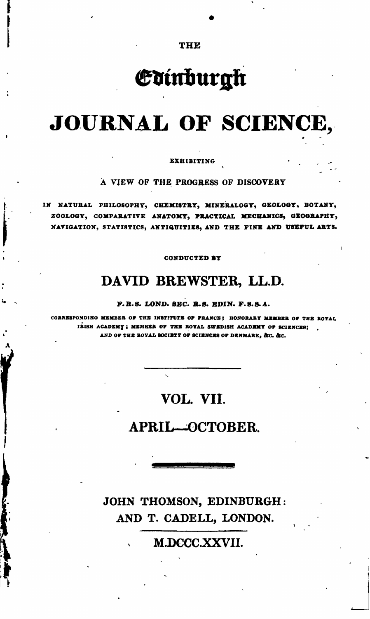**THE** 

# Edinburgh

# JOURNAL OF SCIENCE,

**EXHIBITING** 

A VIEW OF THE PROGRESS OF DISCOVERY

IN NATURAL PHILOSOPHY, CHEMISTRY, MINERALOGY, GEOLOGY, BOTANY, ZOOLOGY, COMPARATIVE ANATOMY, PRACTICAL MECHANICS, GEOGRAPHY, NAVIGATION, STATISTICS, ANTIQUITIES, AND THE FINE AND USEFUL ARTS.

**CONDUCTED BY** 

### DAVID BREWSTER, LL.D.

F.R.S. LOND. SEC. R.S. EDIN. F.S.S.A.

CORRESPONDING MEMBER OF THE INSTITUTE OF FRANCE; HONORARY MEMBER OF THE ROYAL IRISH ACADEMY; MEMBER OF THE ROYAL SWEDISH ACADEMY OF SCIENCES; AND OF THE ROYAL SOCIETY OF SCIENCES OF DENMARK, &C. &C.

## VOL. VII.

#### APRIL-OCTOBER.

### JOHN THOMSON, EDINBURGH: AND T. CADELL, LONDON.

M.DCCC.XXVII.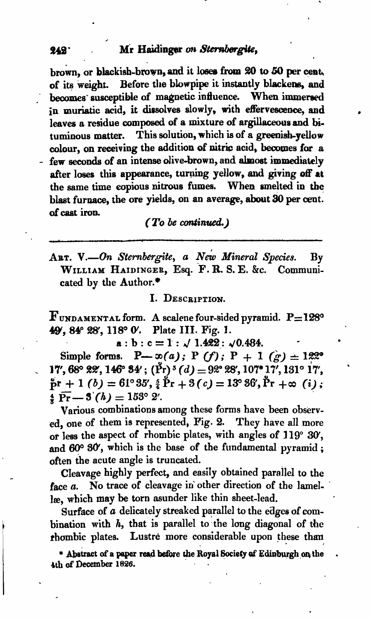brown, or blackish-brown, and it loses from 20 to 50 per cent. Before the blowpipe it instantly blackens, and of its weight. becomes susceptible of magnetic influence. When immersed in muriatic acid, it dissolves slowly, with effervescence, and leaves a residue composed of a mixture of argillaceous and bi-This solution, which is of a greenish-vellow tuminous matter. colour, on receiving the addition of nitric acid, becomes for a - few seconds of an intense olive-brown, and almost immediately after loses this appearance, turning yellow, and giving off at the same time copious nitrous fumes. When smelted in the blast furnace, the ore yields, on an average, about 30 per cent. of cast iron.

(To be continued.)

ART. V.-On Sternbergite, a New Mineral Species.  $\mathbf{B}\mathbf{v}$ WILLIAM HAIDINGER, Esq. F. R. S. E. &c. Communicated by the Author.\*

I. DESCRIPTION.

 $\mathbf F$ UNDAMENTAL form. A scalene four-sided pyramid.  $\mathbf P = 128^\circ$ 49, 84° 28', 118° 0'. Plate III. Fig. 1.

 $a:b:c=1:\sqrt{1.422}:\sqrt{0.484}.$ 

Simple forms. P- $\infty(a)$ ; P (f); P + 1 (g)  $\pm$  122° 17', 68° 22', 146° 34'; (Pr)<sup>3</sup> (d) = 92° 28', 107° 17', 131° 17'.  $\beta r + 1$  (b) = 61°35',  $\frac{5}{4} \tilde{P}r + 3(c) = 13^{\circ} 86'$ ,  $\tilde{P}r + \infty$  (i).  $\frac{4}{5} \overline{\Pr} - 3(h) = 153^{\circ} 2'.$ 

Various combinations among these forms have been observed, one of them is represented, Fig. 2. They have all more or less the aspect of rhombic plates, with angles of 119° 30', and 60° 30', which is the base of the fundamental pyramid: often the acute angle is truncated.

Cleavage highly perfect, and easily obtained parallel to the face a. No trace of cleavage in other direction of the lamellæ, which may be torn asunder like thin sheet-lead.

Surface of a delicately streaked parallel to the edges of combination with  $h$ , that is parallel to the long diagonal of the rhombic plates. Lustre more considerable upon these than

\* Abstract of a paper read before the Royal Society of Edinburgh on the 4th of December 1826.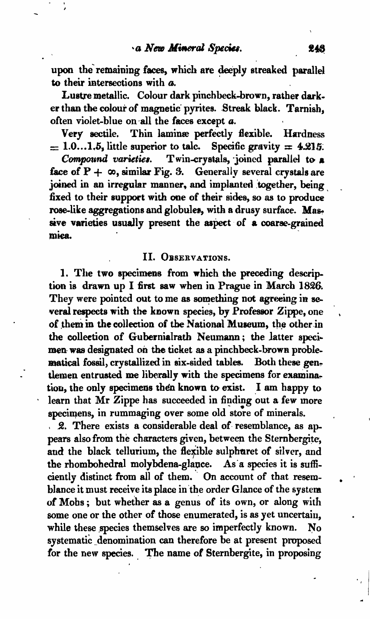upon the remaining faces, which are deeply streaked parallel to their intersections with  $a$ .

Lustre metallic. Colour dark pinchbeck-brown, rather dark. er than the colour of magnetic pyrites. Streak black. Tarnish, often violet-blue on-all the faces except *a.*

Very sectile. Thin laminæ perfectly flexible. Hardness  $= 1.0...1.5$ , little superior to talc. Specific gravity  $= 4.215$ .

*Compound varieties.* Twin-crystals, joined parallel to a face of  $P + \infty$ , similar Fig. 3. Generally several crystals are joined in an irregular manner, and implanted together, being fixed to their support with one of their sides, so as to produce rose-like aggregations and globules, with a drusy surface. Massive varieties usually present the aspect of a coarse-grained miea. The contract of the contract of the contract of the contract of the contract of the contract of the contract of the contract of the contract of the contract of the contract of the contract of the contract of the cont

#### II. OBSERVATIONS.

1. The two specimens from which the preceding description is drawn up I first saw when in Prague in March 1826. They were pointed out to me as something not agreeing in several respects with the known species, by Professor Zippe, one of them in the collection of the National Museum, the other in the collection of Gubernialrath Neumann; the latter specimen- was designated on the ticket as a pinchbeck-brown problematical fossil, crystallized in six-sided tables. Both these gentlemen entrusted me liberally with the specimens for examination, the only specimens then known to exist. I am happy to learn that Mr Zippe has succeeded in finding out a few more specimens, in rummaging over some old store of minerals.

 $\sqrt{2}$ . There exists a considerable deal of resemblance, as appears also from the characters given, between the Sternbergite, and the black tellurium, the flexible sulphuret of silver, and the rbombohedral molybdena-glance. As'a species it is sufficiently distinct from all of them." On account of that resemhlance it must receive its place in 'the order Glance of the system of Mobs; but whether as a genus of its own, or along with some one or the other of those enumerated, is as yet uncertain, while these species themselves are so imperfectly known. No systematic denomination can therefore be at present proposed for the new species. The name of Sternbergite, in proposing